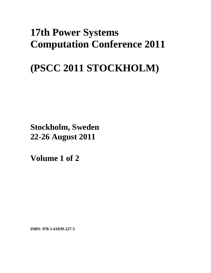## **17th Power Systems Computation Conference 2011**

# **(PSCC 2011 STOCKHOLM)**

**Stockholm, Sweden 22-26 August 2011**

**Volume 1 of 2** 

**ISBN: 978-1-61839-227-5**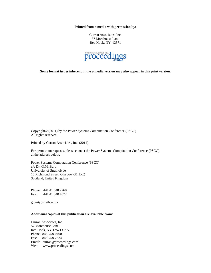**Printed from e-media with permission by:** 

Curran Associates, Inc. 57 Morehouse Lane Red Hook, NY 12571



**Some format issues inherent in the e-media version may also appear in this print version.** 

Copyright© (2011) by the Power Systems Computation Conference (PSCC) All rights reserved.

Printed by Curran Associates, Inc. (2011)

For permission requests, please contact the Power Systems Computation Conference (PSCC) at the address below.

Power Systems Computation Conference (PSCC) c/o Dr. G.M. Burt University of Strathclyde 16 Richmond Street, Glasgow G1 1XQ Scotland, United Kingdom

Phone: 441 41 548 2268 Fax: 441 41 548 4872

g.burt@strath.ac.uk

## **Additional copies of this publication are available from:**

Curran Associates, Inc. 57 Morehouse Lane Red Hook, NY 12571 USA Phone: 845-758-0400 Fax: 845-758-2634 Email: curran@proceedings.com Web: www.proceedings.com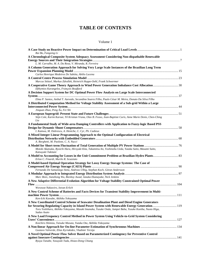## **TABLE OF CONTENTS**

### Volume 1

| Rui Bo, Fangxing Li                                                                                                                |  |
|------------------------------------------------------------------------------------------------------------------------------------|--|
| A Chronological Composite System Adequacy Assessment Considering Non-dispathable Renewable                                         |  |
|                                                                                                                                    |  |
| L. M. Carvalho, M. A. Da Rosa, V. Miranda, R. Ferreira                                                                             |  |
| A Column Generation Approach for Solving Very Large Scale Instances of the Brazilian Long Term                                     |  |
|                                                                                                                                    |  |
| Carlos Henrique Medeiros De Sabóia, Abilio Lucena                                                                                  |  |
|                                                                                                                                    |  |
| Marcus Stötzel, Markus Zdrallek, Heinrich Hoppe-Oehl, Frank Schwermer                                                              |  |
| A Cooperative Game Theory Approach to Wind Power Generation Imbalance Cost Allocation30<br>Efthymios Karangelos, François Bouffard |  |
| A Decision Support System for DC Optimal Power Flow Analysis on Large Scale Interconnected                                         |  |
|                                                                                                                                    |  |
| Elma P. Santos, Anibal T. Azevedo, Secundino Soares Filho, Paulo César M. Meira, Donato Da Silva Filho                             |  |
| A Distributed Computation Method for Voltage Stability Assessment of a Sub-grid Within a Large                                     |  |
|                                                                                                                                    |  |
| Jinquan Zhao, Peng Xu, Fei Shi                                                                                                     |  |
|                                                                                                                                    |  |
| Stijn Cole, Karim Karoui, Til Kristian Vrana, Olav B. Fosso, Jean-Baptiste Curis, Anne Marie Denis, Chen-Ching<br>Liu              |  |
| A Fundamental Study of Wide-area Damping Controllers with Application to Fuzzy-logic Based PSS                                     |  |
|                                                                                                                                    |  |
| I. Kamwa, M. Dobrescu, A. Heniche, C. Cyr, Ph. Cadieux                                                                             |  |
| A Mixed Integer Linear Programming Approach to the Optimal Configuration of Electrical                                             |  |
|                                                                                                                                    |  |
| A. Borghetti, M. Paolone, C. A. Nucci                                                                                              |  |
|                                                                                                                                    |  |
| Motoki Akatsuka, Ryoichi Hara, Hiroyuki Kita, Takamitsu Ito, Yoshinobu Ueda, Yutaka Saito, Masami Saito,<br>Katsuyuki Takitani     |  |
| Erlon C. Finardi, Murilo R. Scuzziato                                                                                              |  |
| A Model-based Optimal Operation Strategy for Lossy Energy Storage Systems: The Case of                                             |  |
|                                                                                                                                    |  |
| Fernando De Samaniego Steta, Andreas Ulbig, Stephan Koch, Göran Andersson                                                          |  |
|                                                                                                                                    |  |
| Marc Rees, Jianzhong Wu, Bieshoy Awad, Janaka Ekanayake, Nick Jenkins                                                              |  |
| A New Adaptive Differential Evolution Algorithm for Voltage Stability Constrained Optimal Power                                    |  |
| Worawat Nakawiro, Istvan Erlich                                                                                                    |  |
| A New Control Scheme of Batteries and Facts Devices for Transient Stability Improvement in Multi-                                  |  |
|                                                                                                                                    |  |
| Ken-Ichi Kawabe, Akihiko Yokoyama                                                                                                  |  |
| A New Coordinated Control Scheme of Seawater Desalination Plant and Diesel Engine Generators                                       |  |
| for Securing Regulating Capacity in Island Power System with Renewable Energy Generation119                                        |  |
| Toru Yoshihara, Akihiko Yokoyama, Masaki Imanaka, Yusuke Onda, Jumpei Baba, Yusuke Kuniba, Naoto Higa,<br>Sadao Asato              |  |
| A New Load Frequency Control Method in Power System Using Vehicle-to-Grid System Considering                                       |  |
|                                                                                                                                    |  |
| Koichiro Shimizu, Taisuke Masuta, Yutaka Ota, Akihiko Yokoyama                                                                     |  |
|                                                                                                                                    |  |
| Gustavo Valverde, Elias Kyriakides, Vladimir Terzija                                                                               |  |
| A Novel Optimal Power Flow Solver Based on Parameterized Contingency for Preventive Control                                        |  |
|                                                                                                                                    |  |
| Ryuya Tanabe, Yasuyuki Tada, Hsiao-Dong Chiang                                                                                     |  |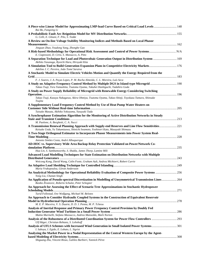| A Piece-wise Linear Model for Approximating LMP-load Curve Based on Critical Load Levels  148                                                                                       |  |
|-------------------------------------------------------------------------------------------------------------------------------------------------------------------------------------|--|
| Rui Bo, Fangxing Li<br>G. Celli, E. Ghiani, F. Pilo, S. Tedde                                                                                                                       |  |
| A Review on On-line Voltage Stability Monitoring Indices and Methods Based on Local Phasor                                                                                          |  |
|                                                                                                                                                                                     |  |
| Jinquan Zhao, Youdong Yang, Zhonghe Gao                                                                                                                                             |  |
| E. Ciapessoni, D. Cirio, S. Massucco, A. Pitto                                                                                                                                      |  |
| A Separation Technique for Load and Photovoltaic Generation Output in Distribution System  169<br>Akihito Yasunaga, Ryoichi Hara, Hiroyuki Kita                                     |  |
| A Simulation Tool to Build Generation Expansion Plans in Competitive Electricity Markets 176                                                                                        |  |
| Adelino J. C. Pereira, João Tomé Saraiva<br>A Stochastic Model to Simulate Electric Vehicles Motion and Quantify the Energy Required from the                                       |  |
| F. J. Soares, J. A. Peças Lopes, P. M. Rocha Almeida, C. L. Moreira, Luís Seca                                                                                                      |  |
| A Study on Adaptive Frequency Control Method by Multiple DGS in Island-type Microgrid  190                                                                                          |  |
| Takao Tsuji, Toru Yamashita, Tsutomu Oyama, Takuhei Hashiguchi, Tadahiro Goda                                                                                                       |  |
| A Study on Power Supply Reliability of Microgrid with Renewable Energy Considering Switching                                                                                        |  |
| Takao Tsuji, Kazuya Nakagawa, Akira Ohmiya, Tsutomu Oyama, Takao Shinji, Toyokazu Tamura, Shinsuke<br>Tsujita                                                                       |  |
| A Supplementary Load Frequency Control Method by Use of Heat Pump Water Heaters on                                                                                                  |  |
| Taisuke Masuta, Akihiko Yokoyama, Yasuyuki Tada                                                                                                                                     |  |
| A Synchrophasor Estimation Algorithm for the Monitoring of Active Distribution Networks in Steady                                                                                   |  |
| M. Paolone, A. Borghetti, C. A. Nucci                                                                                                                                               |  |
| A Transmission Renewal Planning Approach with Supply-end Reserves and Line Flow Sensitivities221<br>Keisuke Ueda, Yu Takamizawa, Shinichi Iwamoto, Yoshinori Kato, Masayuki Shimazu |  |
| A Two-Stage Orthogonal Estimator to Incorporate Phasor Measurements into Power System Real-                                                                                         |  |
| Antonio Simões Costa, André Albuquerque                                                                                                                                             |  |
| AD-HOC vs. Supervisory Wide Area Backup Relay Protection Validated on Power/Network Co-                                                                                             |  |
|                                                                                                                                                                                     |  |
| Hua Lin, S. Sambamoorthy, S. Shukla, James Thorp, Lamine Mili                                                                                                                       |  |
| <b>Advanced Load Modelling Techniques for State Estimation on Distribution Networks with Multiple</b>                                                                               |  |
| Weicong Kong, David Wang, Colin Foote, Graham Ault, Andrea Michiorri, Robert Currie                                                                                                 |  |
|                                                                                                                                                                                     |  |
| Maria Vrakopoulou, Göran Andersson                                                                                                                                                  |  |
| An Analytical Methodology for Operational Reliability Evaluation of Composite Power Systems  256<br>Yong Liu, Chanan Singh                                                          |  |
| An Application of Pseudo-spectral Discretization in Modelling of Unsymmetrical Transmission Lines 264<br>Rastko Živanovic, Roberto Schulze, Peter Schegner                          |  |
| An Approach for Assessing the Effect of Scenario Tree Approximations in Stochastic Hydropower                                                                                       |  |
| Turid Follestad, Ove Wolfgang, Michael M. Belsnes                                                                                                                                   |  |
| An Approach to Consider Hydraulic Coupled Systems in the Construction of Equivalent Reservoir                                                                                       |  |
|                                                                                                                                                                                     |  |
| M. E. P. Maceira, V. S. Duarte, D. D. J. Penna, M. P. Tcheou                                                                                                                        |  |
| Analysis of Inertial Response and Primary Power Frequency Control Provision by Doubly Fed<br>Mattia Marinelli, Stefano Massucco, Andrea Mansoldo, Mark Norton                       |  |
| Analysis of the Robustness of a Distributed Coordination System for Power Flow Controllers  293                                                                                     |  |
| Ulf Häger, Christian Rehtanz, S. Lehnhoff                                                                                                                                           |  |
| Analysis of UFLS Schemes with Increased Wind Generation in Small Isolated Power Systems 301<br>I. Saboya, I. Egido, E. Lobato, L. Sigrist                                           |  |
| Analyzing the Market Power in a Nodal Representation of the Central Western Europe by the Agent-                                                                                    |  |
| Shiguang Zhu, Vincent Rious, Galileo Barbieri, Yannick Pérez                                                                                                                        |  |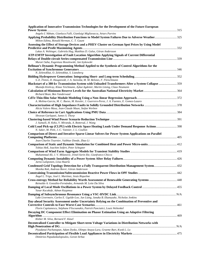| Application of Innovative Transmission Technologies for the Development of the Future European                                                                                       |  |
|--------------------------------------------------------------------------------------------------------------------------------------------------------------------------------------|--|
| Angelo L'Abbate, Gianluca Fulli, Gianluigi Migliavacca, Arturs Purvins                                                                                                               |  |
| Applying Probability Distribution Functions to Model System Failures Due to Adverse Weather 325<br>Milton Edimu, Ronald Herman, C. T. Gaunt                                          |  |
| Assessing the Effect of Storage Devices and a PHEV Cluster on German Spot Prices by Using Model                                                                                      |  |
| Lukas A. Wehinger, Gabriela Hug, Matthias D. Galus, Göran Andersson                                                                                                                  |  |
| ATP-EMTP Investigation of Fault Location Algorithm Applying Signals of Current Differential                                                                                          |  |
| Murari Saha, Eugeniusz Rosolowski, Jan Izykowski                                                                                                                                     |  |
| Bellman's Dynamic Programming Method Applied to the Synthesis of Control Algorithms for the<br>N. Zelenokhat, O. Zelenokhat, S. Lianzberg                                            |  |
|                                                                                                                                                                                      |  |
| S.-E. Fleten, D. Haugstvedt, J. A. Steinsbø, M. M. Belsnes, F. Fleischmann                                                                                                           |  |
| Blackstart of a 380-kv Transmission System with Unloaded Transformers After a System Collapse  359<br>Mustafa Kizilcay, Klaus Teichmann, Aykut Agdemir, Martin Lösing, Claus Neumann |  |
| Richard Bean, Ben Vanderwaal                                                                                                                                                         |  |
| A. Molina-Garcia, M. C. Bueso, M. Kessler, J. Guerrero-Perez, J. A. Fuentes, E. Gomez-Lazaro                                                                                         |  |
| Alicia Valero Masa, Jean-Claude Maun, Stefan Werben                                                                                                                                  |  |
| Shravan Garlapati, James S. Thorp                                                                                                                                                    |  |
| J. Sumaili, H. Keko, V. Miranda, A. Botterud, J. Wang                                                                                                                                |  |
| Cold Load Pick-up (CLPU) with Electric Space Heating Loads Under Demand Response Actions 398<br>N. Saker, M. Petit, J.-C. Vannier, J. L. Coullon                                     |  |
| <b>Comparison of Direct and Iterative Sparse Linear Solvers for Power System Applications on Parallel</b>                                                                            |  |
|                                                                                                                                                                                      |  |
| Jean-Charles Tournier, Vaibhav Donde, Zhao Li<br>Comparison of Static and Dynamic Simulation for Combined Heat and Power Micro-units 412                                             |  |
| Tobias Heß, Joachim Seifert, Peter Schegner                                                                                                                                          |  |
| Muhammad Ali, J. V. Milanovic, Irinel-Sorin Ilie, Gianfranco Chicco                                                                                                                  |  |
|                                                                                                                                                                                      |  |
| Jarno Lamponen, Liisa Haarla<br>Condensed Grid Topology Detection for a Fully Transparent Distribution Management System 432                                                         |  |
| Monika Ruh, Andreas Borer, Göran Andersson                                                                                                                                           |  |
| Ángel L. Trigo, José L. Martínez, Jesús Riquelme                                                                                                                                     |  |
| Cross-entropy Method for Reliability Worth Assessment of Renewable Generating Systems  448<br>Reinaldo A. González-Fernández, Armando M. Leite Da Silva                              |  |
|                                                                                                                                                                                      |  |
| Yasar Kucukefe, Adnan Kaypmaz                                                                                                                                                        |  |
| Luke Livermore, Carlos E. Ugalde-Loo, Jun Liang, Janaka B. Ekanayake, Nicholas Jenkins                                                                                               |  |
| Day-ahead Security Assessment under Uncertainty Relying on the Combination of Preventive and                                                                                         |  |
|                                                                                                                                                                                      |  |
| Florin Capitanescu, Stéphane Fliscounakis, Patrick Panciatici, Louis Wehenkel                                                                                                        |  |
| Decaying DC Component Effect Elimination on Phasor Estimation Using an Adaptive Filtering                                                                                            |  |
| Kleber M. Silva, Bernard F. Küsel                                                                                                                                                    |  |
| Decentralised Controller to Mitigate Short-term Voltage Variations in Distribution Networks with                                                                                     |  |
|                                                                                                                                                                                      |  |
| Piyadanai Pachanapan, Adam Dysko, Olimpo Anaya-Lara, Graeme Burt, Kwok L. Lo                                                                                                         |  |
| Dimitrios Papadaskalopoulos, Goran Strbac                                                                                                                                            |  |
|                                                                                                                                                                                      |  |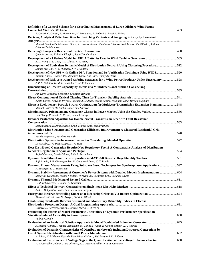| Definition of a Control Scheme for a Coordinated Management of Large Offshore Wind Farms                                                                                                                 |     |
|----------------------------------------------------------------------------------------------------------------------------------------------------------------------------------------------------------|-----|
| F. Careri, C. Genesi, P. Marannino, M. Montagna, P. Raboni, S. Rossi, I. Siviero                                                                                                                         |     |
| Deriving Analytical Relief Functions for Switching Variants and Assigning Priority by Transient<br>491                                                                                                   |     |
| Manoel Firmino De Medeiros Júnior, Arrhenius Vinicius Da Costa Oliveira, José Tavares De Oliveira, Juliana<br>Oliveira De Medeiros                                                                       |     |
| Quentin Jossen, Frédéric Klopfert, Jean-Claude Maun                                                                                                                                                      |     |
| Development of a Lifetime Model for VRLA Batteries Used in Wind Turbine Generators 505<br>X. L. Wang, S. S. Choi, T. L. Zhang, K. J. Tseng                                                               |     |
| Development of Equivalent Dynamic Model of Distribution Network Using Clustering Procedure512<br>Samila Mat Zali, N. C. Woolley, J. V. Milanovic                                                         |     |
| Development of New SPS with Online DSA Function and Its Verification Technique Using RTDS520<br>Kuniaki Anzai, Hisanori Ito, Masahiro Yatsu, Yuji Hara, Haruyuki Horii                                   |     |
| Development of Risk-constrained Offering Strategies for a Wind Power Producer Under Uncertainty528<br>J. P. S. Catalão, H. M. I. Pousinho, V. M. F. Mendes                                               |     |
| Dimensioning of Reserve Capacity by Means of a Multidimensional Method Considering                                                                                                                       |     |
| Jan Kays, Johannes Schwippe, Christian Rehtanz                                                                                                                                                           |     |
|                                                                                                                                                                                                          |     |
| Naoto Yorino, Ardyono Priyadi, Ridzuan A. Mutalib, Yutaka Sasaki, Yoshifumi Zoka, Hiroaki Sugihara<br>Discrete Evolutionary Particle Swarm Optimization for Multiyear Transmission Expansion Planning548 |     |
| Manuel Costeira Da Rocha, João Tomé Saraiva                                                                                                                                                              |     |
| Discriminatory Pricing among Consumer Classes in Power Market Using the Shapley Value556<br>Fan Zhang, Pramode K. Verma, Samuel Cheng                                                                    |     |
| Distance Protection Algorithm for Double-circuit Transmission Line with Fault Resistance                                                                                                                 |     |
|                                                                                                                                                                                                          |     |
| Marcin Bozek, Eugeniusz Rosolowski, Murari Saha, Jan Izykowski                                                                                                                                           |     |
| Distribution Line Structure and Generation Efficiency Improvement: A Clustered Residential Grid-                                                                                                         |     |
| Yusuke Miyamoto, Yasuhiro Hayashi                                                                                                                                                                        |     |
| D. Issicaba, J. A. Pecas Lopes, M. A. Rosa                                                                                                                                                               |     |
| Does Distributed Generation Require New Regulatory Tools? A Comparative Analysis of Distribution                                                                                                         |     |
| Rafael Cossent, Tomás Gómez, João A. Peças Lopes                                                                                                                                                         |     |
| Dynamic Load Model and Its Incorporation in MATLAB Based Voltage Stability Toolbox 591<br>Sujit Lande, S. P. Ghanegaonkar, N. Gopalakrishnan, V. N. Pande                                                |     |
| Dynamic Phasor Measurements Using Subspace Based Techniques for Synchrophasor Applications  597<br>P. Banerjee, S. C. Srivastava                                                                         |     |
| Dynamic Stability Assessment of Customer's Power Systems with Detailed Models Implementation  604<br>Masayuki Watanabe, Yasunori Mitani, Hiroyuki Iki, Yoshihisa Uriu, Yasuhiro Urano                    |     |
| <b>Dynamic Thermal Modeling of Isolated Cables</b>                                                                                                                                                       | 611 |
| F. M. Echavarren, L. Rouco, A. González                                                                                                                                                                  |     |
| Andrés Delgadillo, Javier Reneses, Julián Barquín                                                                                                                                                        |     |
| Alexandre Street, José M. Arroyo, Fabrício Oliveira                                                                                                                                                      |     |
| <b>Establishing Trade-offs Between Sustained and Momentary Reliability Indices in Electric</b>                                                                                                           |     |
| Gustavo D. Ferreira, Arturo S. Bretas, Mario O. Oliveira                                                                                                                                                 |     |
| <b>Estimating the Effects of Model Parametric Uncertainty on Dynamic Performance Specification</b>                                                                                                       |     |
| Vaibhav Donde<br>Evaluation of an Analytical Solution Approach to Model Doubly-fed Induction Generator  645                                                                                              |     |
| A. Molina-García, I. Muñoz-Benavente, M. Cañas, S. Amat, E. Gómez-Lázaro, J. A. Fuentes                                                                                                                  |     |
| <b>Evaluation of Dynamic Characteristics of Distribution Network Including Dispersed Generations by</b>                                                                                                  |     |
| Y. Shirai, H. Ishikawa, Ryosuke Uda, Hiroshi Miura, Koji Mizutani, K. Shibata                                                                                                                            |     |
| V. T. Carvalho, João P. J. De Oliveira, A. L. Ferreira Filho, J. A. A. Cormane                                                                                                                           |     |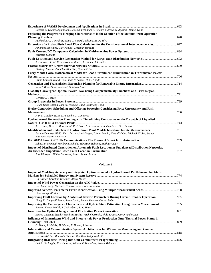| Ildemar C. Decker, Aguinaldo S. e Silva, Fernando B. Prioste, Marcelo N. Agostini, Daniel Dotta                                    |  |
|------------------------------------------------------------------------------------------------------------------------------------|--|
| <b>Exploring the Progressive Hedging Characteristics in the Solution of the Medium-term Operation</b>                              |  |
| Raphael E. C. Goncalves, Erlon C. Finardi, Edson Luiz Da Silva                                                                     |  |
| Extension of a Probabilistic Load Flow Calculation for the Consideration of Interdependencies 677                                  |  |
| Johannes Schwippe, Olav Krause, Christian Rehtanz                                                                                  |  |
| Teruhisa Kumano                                                                                                                    |  |
| A. González, F. M. Echavarren, L. Rouco, T. Gómez, J. Cabetas                                                                      |  |
| Pierluigi Mancarella, Chin Kim Gan, Goran Strbac                                                                                   |  |
| Fuzzy Monte Carlo Mathematical Model for Load Curtailment Minimization in Transmission Power                                       |  |
|                                                                                                                                    |  |
| Bruno Canizes, Zita A. Vale, João P. Soares, H. M. Khodr                                                                           |  |
| Russell Bent, Alan Berscheid, G. Loren Toole                                                                                       |  |
| Globally Convergent Optimal Power Flow Using Complementarity Functions and Trust Region                                            |  |
|                                                                                                                                    |  |
| Geraldo L. Torres                                                                                                                  |  |
|                                                                                                                                    |  |
| Hsiao-Dong Chiang, Hua Li, Yasuyuki Tada, Jianzhong Tong                                                                           |  |
| Hydro Generation Scheduling and Offering Strategies Considering Price Uncertainty and Risk                                         |  |
| J. P. S. Catalão, H. M. I. Pousinho, J. Contreras                                                                                  |  |
| Hydrothermal Generation Planning with Time-linking Constraints on the Dispatch of Liquefied                                        |  |
|                                                                                                                                    |  |
| A. L. Diniz, M. E. P. Maceira, M. P. Tcheou, T. N. Santos, V. S. Duarte, D. D. J. Penna                                            |  |
|                                                                                                                                    |  |
| Turhan Demiray, Philip Kertscher, Andrin Münger, Tobias Arnold, Harald Weber, Michael Höckel, Walter<br>Sattinger, Göran Andersson |  |
| Sebastian Lehnhoff, Wolfgang Mahnke, Sebastian Rohjans, Mathias Uslar                                                              |  |
| <b>Impact of Distributed Generation on Automatic Fault Location in Unbalanced Distribution Networks.</b>                           |  |
|                                                                                                                                    |  |
| José Ubirajara Núñez De Nunes, Arturo Suman Bretas                                                                                 |  |

### Volume 2

| Impact of Modeling Accuracy on Integrated Optimization of a Hydrothermal Portfolio on Short-term |  |
|--------------------------------------------------------------------------------------------------|--|
|                                                                                                  |  |
| Ulf Kasper, Christian Kraemer, Albert Moser                                                      |  |
|                                                                                                  |  |
| Luis Luna, Jorge Martínez, Valero Pacual, Vanesa Valiño                                          |  |
|                                                                                                  |  |
| Liuxi Zhang, Ali Abur                                                                            |  |
|                                                                                                  |  |
| Liang Ji, Campbell Booth, Adam Dysko, Fumio Kawano; Gareth Baber                                 |  |
|                                                                                                  |  |
| Sanjeev Kumar Mallik, S Chakrabarti, S. N. Singh                                                 |  |
|                                                                                                  |  |
| Spyros Chatzivasileiadis, Matthias Bucher, Michèle Arnold, Thilo Krause, Göran Andersson         |  |
| Influence of Intermittent Wind and Photovoltaic Power Production Onto Thermal Power Plants in    |  |
|                                                                                                  |  |
| C. Ziems, S. Meinke, H. Weber, E. Hassel, J. Nocke                                               |  |
| Information and Communication System Architectures for Wide-area Monitoring and Control          |  |
|                                                                                                  |  |
| Lars Nordström, Moustafa Chenine, Zhu Kun, Luigi Vanfretti                                       |  |
|                                                                                                  |  |
| Cedric De Jonghe, Erik Delarue, William D'Haeseleer, Ronnie Belmans                              |  |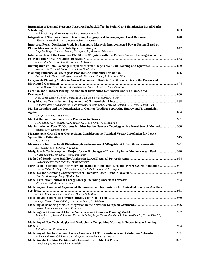| <b>Integration of Demand Response Resource Payback Effect in Social Cost Minimization Based Market</b>                                                                          |  |
|---------------------------------------------------------------------------------------------------------------------------------------------------------------------------------|--|
| Mahdi Behrangrad, Hideharu Sugihara, Tsuyoshi Funaki                                                                                                                            |  |
| Alberto J. Lamadrid, Tim D. Mount, Robert J. Thomas                                                                                                                             |  |
| Inter-area Power Oscillation Mode for Singapore-Malaysia Interconnected Power System Based on                                                                                   |  |
| Dikpride Despa, Yasunori Mitani, Changsong Li, Masayuki Watanabe                                                                                                                |  |
| Interconnection of the European ENTSO-E-CE System with the Turkish System: Investigation of the                                                                                 |  |
| Salaheddin Al-Ali, Ibrahim Nassar, Harald Weber                                                                                                                                 |  |
|                                                                                                                                                                                 |  |
| Kun Zhu, Xu Yuan, Nicholas Honeth, Lars Nordström                                                                                                                               |  |
|                                                                                                                                                                                 |  |
| Carmen Lucia Tancredo Borges, Leonardo Fernandes Rocha, Julio Alberto Dias<br>Large-scale Planning Models to Assess Economies of Scale in Distribution Grids in the Presence of |  |
|                                                                                                                                                                                 |  |
| Carlos Mateo, Tomás Gómez, Álvaro Sánchez, Antonio Candela, Luis Maqueda                                                                                                        |  |
| Location and Contract Pricing Evaluation of Distributed Generation Under a Competitive                                                                                          |  |
|                                                                                                                                                                                 |  |
| J. M. López-Lezama, Javier Contreras, A. Padilha-Feltrin, Marcos J. Rider                                                                                                       |  |
|                                                                                                                                                                                 |  |
| Raphael Gárdos, Alquindar De Souza Pedroso, Antonio Carlos Ferreira, Antonio C. S. Lima, Robson Dias                                                                            |  |
| Market Coupling and the Organization of Counter-Trading: Separating Energy and Transmission                                                                                     |  |
|                                                                                                                                                                                 |  |
| Giorgia Oggioni, Yves Smeers                                                                                                                                                    |  |
| P. N. Biskas, G. H. Naziris, C. K. Simoglou, C. E. Zoumas, A. G. Bakirtzis                                                                                                      |  |
| Maximization of Total PV Outputs for Distribution Network Topology with a Novel Search Method  908                                                                              |  |
| Tsunaki Sato, Hiroumi Saitoh                                                                                                                                                    |  |
| <b>Measurement Gross Error Composition, Considering the Residual Vector Correlation for Power</b>                                                                               |  |
|                                                                                                                                                                                 |  |
| N. G. Bretas                                                                                                                                                                    |  |
| Measures to Improve Fault Ride-through Performance of MV-grids with Distributed Generation 921                                                                                  |  |
| E. J. Coster, P. F. Ribeiro, W. L. Kling                                                                                                                                        |  |
| Medgrid - A Co-development Project for the Exchanges of Electricity in the Mediterranean Basin  928<br>Philippe Adam, Jean Kowal, Hervé Pouliquen                               |  |
|                                                                                                                                                                                 |  |
| Oleg Soukhanov, Igor Yadykin, Dmitry Novitsky<br>Mixed-signal Computation Hardwares Dedicated to High-speed Dynamic Power System Emulation 941                                  |  |
| Laurent Fabre, Ira Nagel, Cédric Meinen, Rachid Cherkaoui, Maher Kayal                                                                                                          |  |
|                                                                                                                                                                                 |  |
| Zhou Li, Xiao-Ping Zhang, Qiu-Lan Wan                                                                                                                                           |  |
| Michèle Arnold, Göran Andersson                                                                                                                                                 |  |
| Modeling and Control of Aggregated Heterogeneous Thermostatically Controlled Loads for Ancillary                                                                                |  |
|                                                                                                                                                                                 |  |
| Stephan Koch, Johanna L. Mathieu, Duncan S. Callaway                                                                                                                            |  |
|                                                                                                                                                                                 |  |
| Soumya Kundu, Nikolai Sinitsyn, Scott Backhaus, Ian Hiskens                                                                                                                     |  |
| Hossein Farahmand, Gerard L. Doorman                                                                                                                                            |  |
|                                                                                                                                                                                 |  |
| Andres Ramos, Jesus M. Latorre, Fernando Báñez, Ángel Hernandez, Germán Morales-España, Kristin Dietrich,<br>Luis Olmos                                                         |  |
| Modelling of New Technologies and Variables in Competitive Markets in Power System Planning                                                                                     |  |
|                                                                                                                                                                                 |  |
| J. Cerda-Arias, D. Westermann                                                                                                                                                   |  |
| Muhammad Azizi Abdul Rahman, Tek Tjing Lie, Krishnamachar Prasad                                                                                                                |  |
|                                                                                                                                                                                 |  |
| Darryl Biggar, Mohammad Hesamzadeh                                                                                                                                              |  |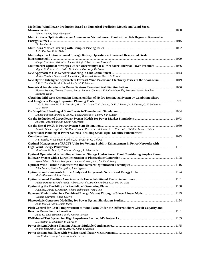| Modelling Wind Power Production Based on Numerical Prediction Models and Wind Speed                                                                            |      |
|----------------------------------------------------------------------------------------------------------------------------------------------------------------|------|
| Tobias Aigner, Terje Gjengedal                                                                                                                                 |      |
| Multi Criteria Optimization of an Autonomous Virtual Power Plant with a High Degree of Renewable                                                               |      |
| Pio Lombardi                                                                                                                                                   |      |
|                                                                                                                                                                |      |
| A. G. Vlachos, P. N. Biskas                                                                                                                                    |      |
| Multi-objective Optimization of Storage Battery Operation in Clustered Residential Grid-                                                                       |      |
|                                                                                                                                                                |      |
| Shingo Kinoshita, Takahiro Shimoo, Shinji Wakao, Yusuke Miyamoto                                                                                               |      |
| Multimarket Optimal Strategies Under Uncertainty for a Price-taker Thermal Power Producer  1036<br>Miguel C. P. Loureiro, Pedro M. S. Carvalho, Jorge De Sousa |      |
|                                                                                                                                                                |      |
| Maziar Yazdani Damavandi, Iman Kiaei, Mohhamd Kazem Sheikh El Eslami                                                                                           |      |
| New Hybrid Intelligent Approach to Forecast Wind Power and Electricity Prices in the Short-term 1049<br>J. P. S. Catalão, H. M. I. Pousinho, V. M. F. Mendes   |      |
|                                                                                                                                                                |      |
| Florent Pruvost, Thomas Cadeau, Pascal Laurent-Gengoux, Frédéric Magoulès, Francois-Xavier Bouchez,<br><b>Bertrand Haut</b>                                    |      |
| Obtaining Mid-term Generation Expansion Plan of Hydro Dominated System by Combining Short                                                                      |      |
|                                                                                                                                                                |      |
| L. G. B. Marzano, M. E. P. Maceira, M. L. V. Lisboa, T. C. Justino, D. D. J. Penna, V. S. Duarte, C. H. Saboia, A.<br>C. G. Melo                               |      |
|                                                                                                                                                                |      |
| Davide Fabozzi, Angela S. Chieh, Patrick Panciatici, Thierry Van Cutsem                                                                                        |      |
| Antonis Papaemmanouil, Göran Andersson                                                                                                                         |      |
|                                                                                                                                                                |      |
| Antonio Gómez-Expósito, Ali Abur, Patricia Rousseaux, Antonio De La Villa Jaén, Catalina Gómez-Quiles                                                          |      |
| <b>Operational Planning of Power Systems Including Small-signal Stability Enhancement</b>                                                                      |      |
|                                                                                                                                                                |      |
| J. L. Rueda, W. Guamán, I. Erlich, A. Vargas, D. G. Colomé                                                                                                     |      |
| Optimal Management of FACTS Units for Voltage Stability Enhancement in Power Networks with                                                                     |      |
|                                                                                                                                                                |      |
| M. Alonso, H. Amarís, C. Álvarez-Ortega, R. Albarracín                                                                                                         |      |
| Optimal Operational Scheduling of Pumped Storage Hydro Power Plant Considering Surplus Power                                                                   |      |
| Ryota Aihara, Akihiko Yokoyama, Fumitoshi Nomiyama, Narifumi Kosugi                                                                                            |      |
|                                                                                                                                                                |      |
| John Tzanos, Kostas Margellos, John Lygeros                                                                                                                    |      |
|                                                                                                                                                                |      |
| Mads Almassalkhi, Ian Hiskens<br><b>Optimization of Penalties Associated with Unavailabilities of Transmission Lines </b>                                      | 1131 |
| Felipe Pereira, Ricardo Prada, Albert De Melo, Anselmo Rodrigues, Maria Da Guia                                                                                |      |
|                                                                                                                                                                |      |
| Juan Ma, Daniel S. Kirschen, Régine Belhomme, Vera Silva                                                                                                       |      |
|                                                                                                                                                                |      |
| Claudio Carvalho, Pablo Cuervo                                                                                                                                 |      |
|                                                                                                                                                                |      |
| Anna Rita Di Fazio, Mario Russo                                                                                                                                |      |
| Pitch Control for LVRT Improvement of Wind Farm Under the Different Short Circuit Capacity and                                                                 |      |
|                                                                                                                                                                |      |
| Aung Ko Thet, Hiroumi Saitoh, Junichi Toyoda                                                                                                                   |      |
| L. Messing, G. Kylander, D. Karlsson                                                                                                                           |      |
|                                                                                                                                                                |      |
| Andrés Delgadillo, José M. Arroyo, Natalia Alguacil                                                                                                            |      |
|                                                                                                                                                                |      |
| Petr Korba, Valerijs Knazkins, Mats Larsson                                                                                                                    |      |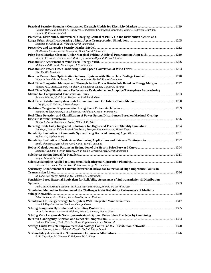| Claudia Battistelli, Claudio A. Cañizares, Mohammad Chehreghani Bozchalui, Victor J. Gutierrez-Martinez,<br>Claudio R. Fuerte-Esquivel                                          |  |
|---------------------------------------------------------------------------------------------------------------------------------------------------------------------------------|--|
| Predictive, Distributed, Hierarchical Charging Control of PHEVs in the Distribution System of a                                                                                 |  |
|                                                                                                                                                                                 |  |
| Matthias D. Galus, R. A. Waraich, Göran Andersson                                                                                                                               |  |
|                                                                                                                                                                                 |  |
| Ali Ahmadi-Khatir, Rachid Cherkaoui, Omid Alizadeh Mousavi                                                                                                                      |  |
| Ricardo Fernández-Blanco, José M. Arroyo, Natalia Alguacil, Pedro J. Muñoz                                                                                                      |  |
|                                                                                                                                                                                 |  |
| Muhammad Ali, Julija Matevosyan, J. V. Milanovic                                                                                                                                |  |
|                                                                                                                                                                                 |  |
| Han Yu, Bill Rosehart                                                                                                                                                           |  |
|                                                                                                                                                                                 |  |
| Valentin Ilea, Cristian Bovo, Marco Merlo, Alberto Berizzi, Paolo Marannino                                                                                                     |  |
| Real Time Congestion Management Through Active Power Reschedule Based on Energy Margins  1247                                                                                   |  |
| Tatiana M. L. Assis, Djalma M. Falcão, Alexandre R. Nunes, Glauco N. Taranto<br>Real Time Digital Simulation to Performance Evaluation of an Adaptive Three-phase Autoreclosing |  |
|                                                                                                                                                                                 |  |
| Patricia Mestas, M. Cristina Tavares, Aniruddha M. Gole                                                                                                                         |  |
|                                                                                                                                                                                 |  |
| I. Dzafic, H.-T. Neisius, S. Henselmeyer                                                                                                                                        |  |
|                                                                                                                                                                                 |  |
| Yemula Pradeep Kumar, S. A. Khaparde, Rushikesh K. Joshi, P. Pentayya                                                                                                           |  |
| Real-Time Detection and Classification of Power System Disturbances Based on Maximal Overlap                                                                                    |  |
| Flavio B. Costa, Benemar A. Souza, Núbia S. D. Brito                                                                                                                            |  |
|                                                                                                                                                                                 |  |
| Ira Nagel, Laurent Fabre, Rachid Cherkaoui, François Krummenacher, Maher Kayal                                                                                                  |  |
|                                                                                                                                                                                 |  |
| Xufeng Xu, Joydeep Mitra                                                                                                                                                        |  |
|                                                                                                                                                                                 |  |
| Emil Johansson, Kjetil Uhlen, Gerd Kjølle, Trond Toftevaag                                                                                                                      |  |
|                                                                                                                                                                                 |  |
| Marcus Hildmann, Florian Herzog, Dejan Stokic, Jeroen Cornel, Göran Andersson                                                                                                   |  |
| Raquel García-Bertrand                                                                                                                                                          |  |
|                                                                                                                                                                                 |  |
| Débora D. J. Penna, Maria Elvira P. Maceira, Jorge M. Damázio                                                                                                                   |  |
| Sensitivity Enhancement of Current Differential Relays for Detection of High Impedance Faults on                                                                                |  |
|                                                                                                                                                                                 |  |
| M. Lukowicz, Marek Michalik, W. Rebizant, A. Wiszniewski                                                                                                                        |  |
| Sensitivity-based External Equivalent for Reliability Assessment of Subtransmission & Distribution                                                                              |  |
| Pedro Jose Martínez Lacañina, José Luis Martínez Ramos, Antonio De La Villa Jaén                                                                                                |  |
| Simulation Method for Evaluation of the Challenges in the Reliability Performance of Medium-                                                                                    |  |
|                                                                                                                                                                                 |  |
| Juha Haakana, Tero Kaipia, Jukka Lassila, Jarmo Partanen                                                                                                                        |  |
|                                                                                                                                                                                 |  |
| Yannick Degeilh, Justine Descloux, George Gross                                                                                                                                 |  |
|                                                                                                                                                                                 |  |
| Vitor L. De Matos, Andrew B. Philpott, Erlon C. Finardi, Ziming Guan                                                                                                            |  |
| Solving Very Large-scale Security-constrained Optimal Power Flow Problems by Combining                                                                                          |  |
| Ludovic Platbrood, Horia Crisciu, Florin Capitanescu, Louis Wehenkel                                                                                                            |  |
|                                                                                                                                                                                 |  |
| Diana Moneta, Alberto Gelmini, Claudio Carlini, Mario Belotti                                                                                                                   |  |
|                                                                                                                                                                                 |  |
| A. R. Ciupuliga, M. Gibescu, E. Pelgrum, W. L. Kling                                                                                                                            |  |